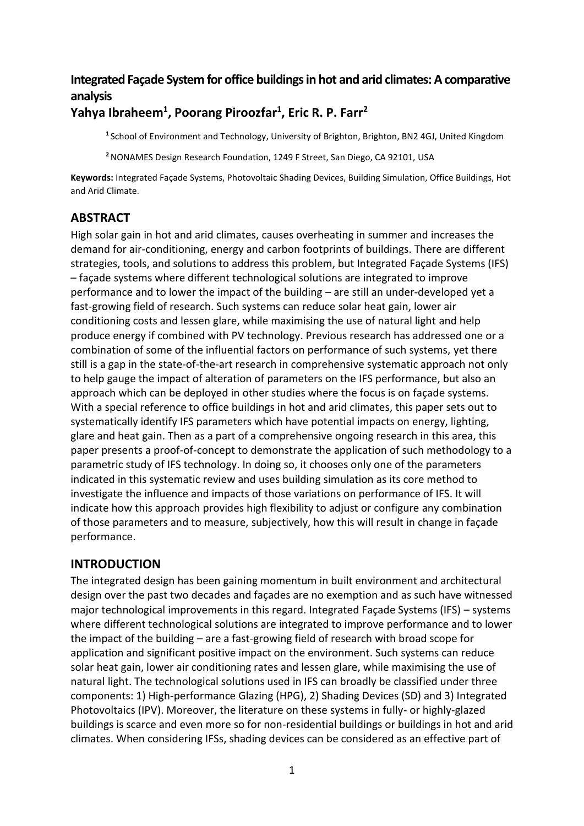# **Integrated Façade System for office buildings in hot and arid climates: A comparative analysis Yahya Ibraheem<sup>1</sup> , Poorang Piroozfar<sup>1</sup> , Eric R. P. Farr<sup>2</sup>**

**<sup>1</sup>**School of Environment and Technology, University of Brighton, Brighton, BN2 4GJ, United Kingdom

**<sup>2</sup>**NONAMES Design Research Foundation, 1249 F Street, San Diego, CA 92101, USA

**Keywords:** Integrated Façade Systems, Photovoltaic Shading Devices, Building Simulation, Office Buildings, Hot and Arid Climate.

### **ABSTRACT**

High solar gain in hot and arid climates, causes overheating in summer and increases the demand for air-conditioning, energy and carbon footprints of buildings. There are different strategies, tools, and solutions to address this problem, but Integrated Façade Systems (IFS) – façade systems where different technological solutions are integrated to improve performance and to lower the impact of the building – are still an under-developed yet a fast-growing field of research. Such systems can reduce solar heat gain, lower air conditioning costs and lessen glare, while maximising the use of natural light and help produce energy if combined with PV technology. Previous research has addressed one or a combination of some of the influential factors on performance of such systems, yet there still is a gap in the state-of-the-art research in comprehensive systematic approach not only to help gauge the impact of alteration of parameters on the IFS performance, but also an approach which can be deployed in other studies where the focus is on façade systems. With a special reference to office buildings in hot and arid climates, this paper sets out to systematically identify IFS parameters which have potential impacts on energy, lighting, glare and heat gain. Then as a part of a comprehensive ongoing research in this area, this paper presents a proof-of-concept to demonstrate the application of such methodology to a parametric study of IFS technology. In doing so, it chooses only one of the parameters indicated in this systematic review and uses building simulation as its core method to investigate the influence and impacts of those variations on performance of IFS. It will indicate how this approach provides high flexibility to adjust or configure any combination of those parameters and to measure, subjectively, how this will result in change in façade performance.

# **INTRODUCTION**

The integrated design has been gaining momentum in built environment and architectural design over the past two decades and façades are no exemption and as such have witnessed major technological improvements in this regard. Integrated Façade Systems (IFS) – systems where different technological solutions are integrated to improve performance and to lower the impact of the building – are a fast-growing field of research with broad scope for application and significant positive impact on the environment. Such systems can reduce solar heat gain, lower air conditioning rates and lessen glare, while maximising the use of natural light. The technological solutions used in IFS can broadly be classified under three components: 1) High-performance Glazing (HPG), 2) Shading Devices (SD) and 3) Integrated Photovoltaics (IPV). Moreover, the literature on these systems in fully- or highly-glazed buildings is scarce and even more so for non-residential buildings or buildings in hot and arid climates. When considering IFSs, shading devices can be considered as an effective part of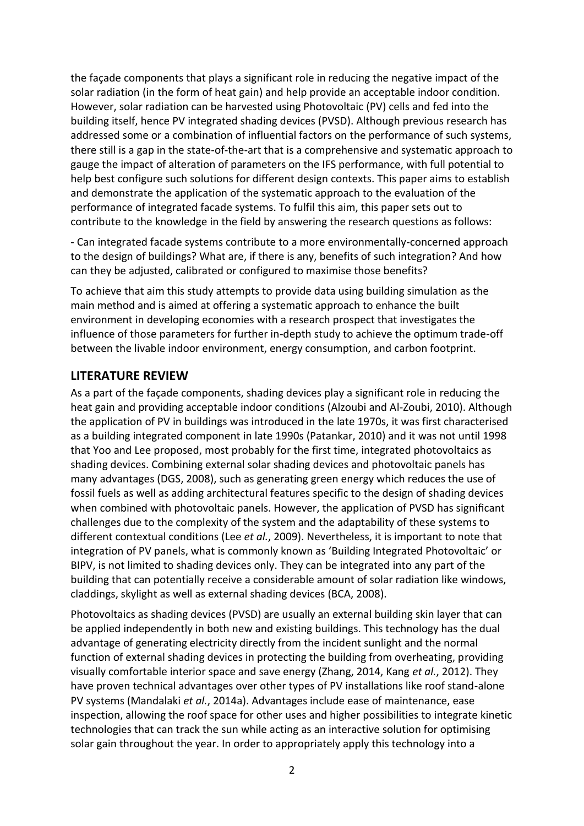the façade components that plays a significant role in reducing the negative impact of the solar radiation (in the form of heat gain) and help provide an acceptable indoor condition. However, solar radiation can be harvested using Photovoltaic (PV) cells and fed into the building itself, hence PV integrated shading devices (PVSD). Although previous research has addressed some or a combination of influential factors on the performance of such systems, there still is a gap in the state-of-the-art that is a comprehensive and systematic approach to gauge the impact of alteration of parameters on the IFS performance, with full potential to help best configure such solutions for different design contexts. This paper aims to establish and demonstrate the application of the systematic approach to the evaluation of the performance of integrated facade systems. To fulfil this aim, this paper sets out to contribute to the knowledge in the field by answering the research questions as follows:

- Can integrated facade systems contribute to a more environmentally-concerned approach to the design of buildings? What are, if there is any, benefits of such integration? And how can they be adjusted, calibrated or configured to maximise those benefits?

To achieve that aim this study attempts to provide data using building simulation as the main method and is aimed at offering a systematic approach to enhance the built environment in developing economies with a research prospect that investigates the influence of those parameters for further in-depth study to achieve the optimum trade-off between the livable indoor environment, energy consumption, and carbon footprint.

# **LITERATURE REVIEW**

As a part of the façade components, shading devices play a significant role in reducing the heat gain and providing acceptable indoor conditions (Alzoubi and Al-Zoubi, 2010). Although the application of PV in buildings was introduced in the late 1970s, it was first characterised as a building integrated component in late 1990s (Patankar, 2010) and it was not until 1998 that Yoo and Lee proposed, most probably for the first time, integrated photovoltaics as shading devices. Combining external solar shading devices and photovoltaic panels has many advantages (DGS, 2008), such as generating green energy which reduces the use of fossil fuels as well as adding architectural features specific to the design of shading devices when combined with photovoltaic panels. However, the application of PVSD has significant challenges due to the complexity of the system and the adaptability of these systems to different contextual conditions (Lee *et al.*, 2009). Nevertheless, it is important to note that integration of PV panels, what is commonly known as 'Building Integrated Photovoltaic' or BIPV, is not limited to shading devices only. They can be integrated into any part of the building that can potentially receive a considerable amount of solar radiation like windows, claddings, skylight as well as external shading devices (BCA, 2008).

Photovoltaics as shading devices (PVSD) are usually an external building skin layer that can be applied independently in both new and existing buildings. This technology has the dual advantage of generating electricity directly from the incident sunlight and the normal function of external shading devices in protecting the building from overheating, providing visually comfortable interior space and save energy (Zhang, 2014, Kang *et al.*, 2012). They have proven technical advantages over other types of PV installations like roof stand-alone PV systems (Mandalaki *et al.*, 2014a). Advantages include ease of maintenance, ease inspection, allowing the roof space for other uses and higher possibilities to integrate kinetic technologies that can track the sun while acting as an interactive solution for optimising solar gain throughout the year. In order to appropriately apply this technology into a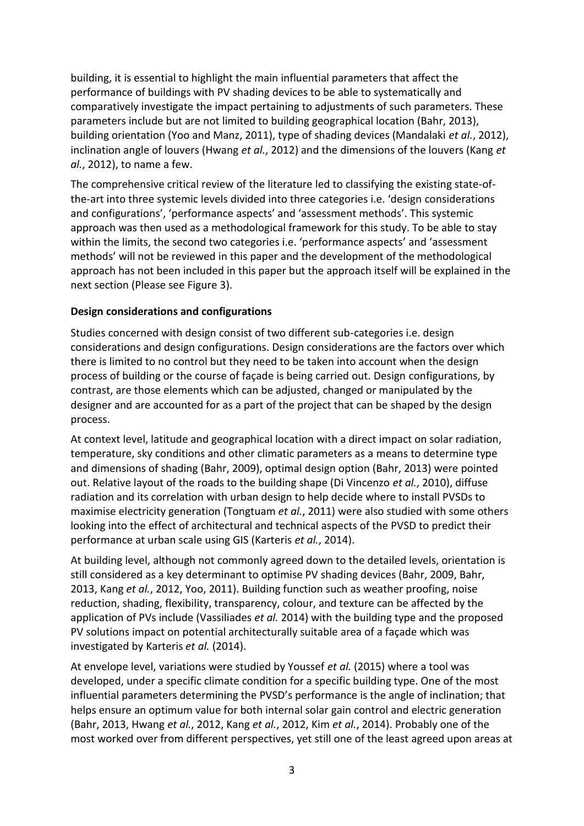building, it is essential to highlight the main influential parameters that affect the performance of buildings with PV shading devices to be able to systematically and comparatively investigate the impact pertaining to adjustments of such parameters. These parameters include but are not limited to building geographical location (Bahr, 2013), building orientation (Yoo and Manz, 2011), type of shading devices (Mandalaki *et al.*, 2012), inclination angle of louvers (Hwang *et al.*, 2012) and the dimensions of the louvers (Kang *et al.*, 2012), to name a few.

The comprehensive critical review of the literature led to classifying the existing state-ofthe-art into three systemic levels divided into three categories i.e. 'design considerations and configurations', 'performance aspects' and 'assessment methods'. This systemic approach was then used as a methodological framework for this study. To be able to stay within the limits, the second two categories i.e. 'performance aspects' and 'assessment methods' will not be reviewed in this paper and the development of the methodological approach has not been included in this paper but the approach itself will be explained in the next section (Please see [Figure 3\)](#page-4-0).

#### **Design considerations and configurations**

Studies concerned with design consist of two different sub-categories i.e. design considerations and design configurations. Design considerations are the factors over which there is limited to no control but they need to be taken into account when the design process of building or the course of façade is being carried out. Design configurations, by contrast, are those elements which can be adjusted, changed or manipulated by the designer and are accounted for as a part of the project that can be shaped by the design process.

At context level, latitude and geographical location with a direct impact on solar radiation, temperature, sky conditions and other climatic parameters as a means to determine type and dimensions of shading (Bahr, 2009), optimal design option (Bahr, 2013) were pointed out. Relative layout of the roads to the building shape (Di Vincenzo *et al.*, 2010), diffuse radiation and its correlation with urban design to help decide where to install PVSDs to maximise electricity generation (Tongtuam *et al.*, 2011) were also studied with some others looking into the effect of architectural and technical aspects of the PVSD to predict their performance at urban scale using GIS (Karteris *et al.*, 2014).

At building level, although not commonly agreed down to the detailed levels, orientation is still considered as a key determinant to optimise PV shading devices (Bahr, 2009, Bahr, 2013, Kang *et al.*, 2012, Yoo, 2011). Building function such as weather proofing, noise reduction, shading, flexibility, transparency, colour, and texture can be affected by the application of PVs include (Vassiliades *et al.* 2014) with the building type and the proposed PV solutions impact on potential architecturally suitable area of a façade which was investigated by Karteris *et al.* (2014).

At envelope level, variations were studied by Youssef *et al.* (2015) where a tool was developed, under a specific climate condition for a specific building type. One of the most influential parameters determining the PVSD's performance is the angle of inclination; that helps ensure an optimum value for both internal solar gain control and electric generation (Bahr, 2013, Hwang *et al.*, 2012, Kang *et al.*, 2012, Kim *et al.*, 2014). Probably one of the most worked over from different perspectives, yet still one of the least agreed upon areas at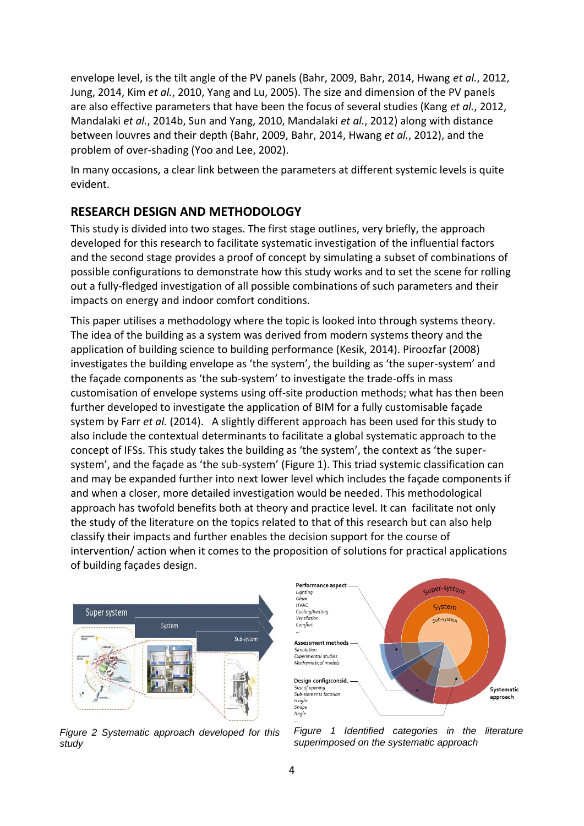envelope level, is the tilt angle of the PV panels (Bahr, 2009, Bahr, 2014, Hwang *et al.*, 2012, Jung, 2014, Kim *et al.*, 2010, Yang and Lu, 2005). The size and dimension of the PV panels are also effective parameters that have been the focus of several studies (Kang *et al.*, 2012, Mandalaki *et al.*, 2014b, Sun and Yang, 2010, Mandalaki *et al.*, 2012) along with distance between louvres and their depth (Bahr, 2009, Bahr, 2014, Hwang *et al.*, 2012), and the problem of over-shading (Yoo and Lee, 2002).

In many occasions, a clear link between the parameters at different systemic levels is quite evident.

# **RESEARCH DESIGN AND METHODOLOGY**

This study is divided into two stages. The first stage outlines, very briefly, the approach developed for this research to facilitate systematic investigation of the influential factors and the second stage provides a proof of concept by simulating a subset of combinations of possible configurations to demonstrate how this study works and to set the scene for rolling out a fully-fledged investigation of all possible combinations of such parameters and their impacts on energy and indoor comfort conditions.

This paper utilises a methodology where the topic is looked into through systems theory. The idea of the building as a system was derived from modern systems theory and the application of building science to building performance (Kesik, 2014). Piroozfar (2008) investigates the building envelope as 'the system', the building as 'the super-system' and the façade components as 'the sub-system' to investigate the trade-offs in mass customisation of envelope systems using off-site production methods; what has then been further developed to investigate the application of BIM for a fully customisable façade system by Farr *et al.* (2014). A slightly different approach has been used for this study to also include the contextual determinants to facilitate a global systematic approach to the concept of IFSs. This study takes the building as 'the system', the context as 'the supersystem', and the façade as 'the sub-system' (Figure 1). This triad systemic classification can and may be expanded further into next lower level which includes the façade components if and when a closer, more detailed investigation would be needed. This methodological approach has twofold benefits both at theory and practice level. It can facilitate not only the study of the literature on the topics related to that of this research but can also help classify their impacts and further enables the decision support for the course of intervention/ action when it comes to the proposition of solutions for practical applications of building façades design.



*Figure 2 Systematic approach developed for this study*



*Figure 1 Identified categories in the literature superimposed on the systematic approach*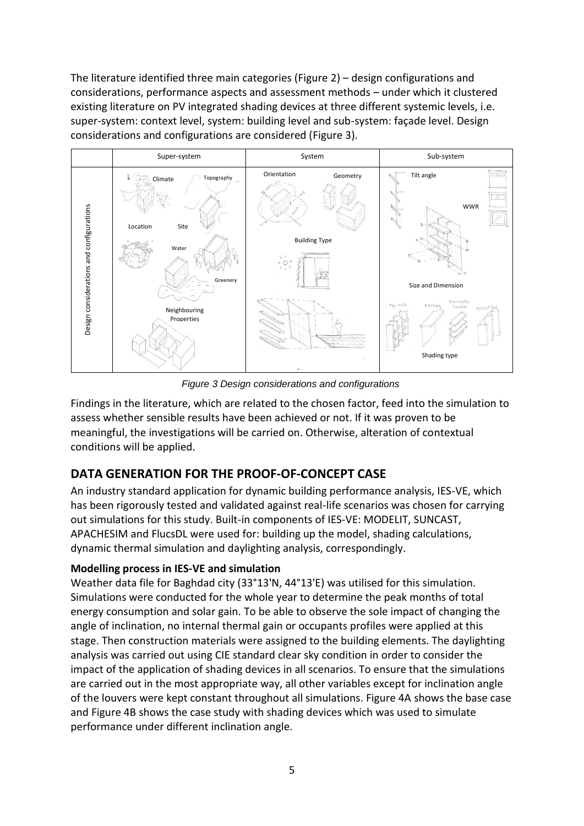The literature identified three main categories (Figure 2) – design configurations and considerations, performance aspects and assessment methods – under which it clustered existing literature on PV integrated shading devices at three different systemic levels, i.e. super-system: context level, system: building level and sub-system: façade level. Design considerations and configurations are considered (Figure 3).



<span id="page-4-0"></span>*Figure 3 Design considerations and configurations*

Findings in the literature, which are related to the chosen factor, feed into the simulation to assess whether sensible results have been achieved or not. If it was proven to be meaningful, the investigations will be carried on. Otherwise, alteration of contextual conditions will be applied.

# **DATA GENERATION FOR THE PROOF-OF-CONCEPT CASE**

An industry standard application for dynamic building performance analysis, IES-VE, which has been rigorously tested and validated against real-life scenarios was chosen for carrying out simulations for this study. Built-in components of IES-VE: MODELIT, SUNCAST, APACHESIM and FlucsDL were used for: building up the model, shading calculations, dynamic thermal simulation and daylighting analysis, correspondingly.

# **Modelling process in IES-VE and simulation**

Weather data file for Baghdad city (33°13'N, 44°13'E) was utilised for this simulation. Simulations were conducted for the whole year to determine the peak months of total energy consumption and solar gain. To be able to observe the sole impact of changing the angle of inclination, no internal thermal gain or occupants profiles were applied at this stage. Then construction materials were assigned to the building elements. The daylighting analysis was carried out using CIE standard clear sky condition in order to consider the impact of the application of shading devices in all scenarios. To ensure that the simulations are carried out in the most appropriate way, all other variables except for inclination angle of the louvers were kept constant throughout all simulations. Figure 4A shows the base case and Figure 4B shows the case study with shading devices which was used to simulate performance under different inclination angle.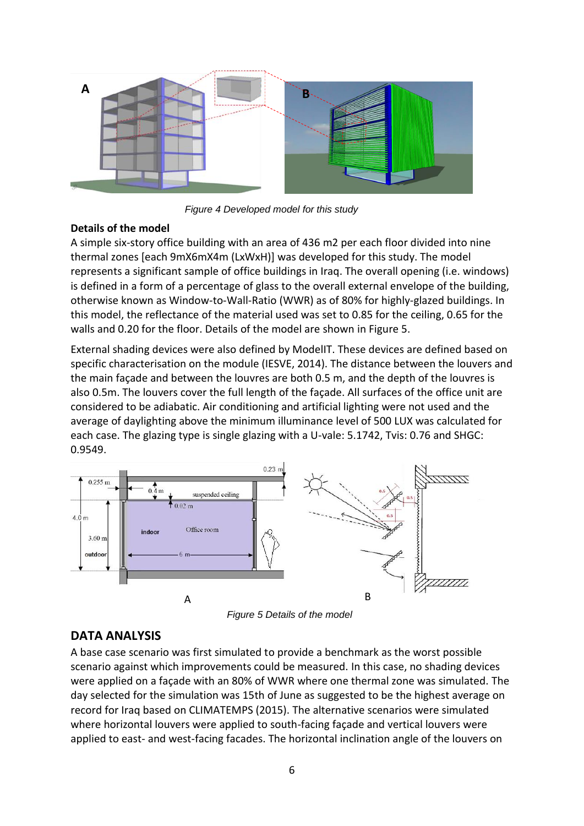

*Figure 4 Developed model for this study*

#### **Details of the model**

A simple six-story office building with an area of 436 m2 per each floor divided into nine thermal zones [each 9mX6mX4m (LxWxH)] was developed for this study. The model represents a significant sample of office buildings in Iraq. The overall opening (i.e. windows) is defined in a form of a percentage of glass to the overall external envelope of the building, otherwise known as Window-to-Wall-Ratio (WWR) as of 80% for highly-glazed buildings. In this model, the reflectance of the material used was set to 0.85 for the ceiling, 0.65 for the walls and 0.20 for the floor. Details of the model are shown in Figure 5.

External shading devices were also defined by ModelIT. These devices are defined based on specific characterisation on the module (IESVE, 2014). The distance between the louvers and the main façade and between the louvres are both 0.5 m, and the depth of the louvres is also 0.5m. The louvers cover the full length of the façade. All surfaces of the office unit are considered to be adiabatic. Air conditioning and artificial lighting were not used and the average of daylighting above the minimum illuminance level of 500 LUX was calculated for each case. The glazing type is single glazing with a U-vale: 5.1742, Tvis: 0.76 and SHGC: 0.9549.



*Figure 5 Details of the model*

# **DATA ANALYSIS**

A base case scenario was first simulated to provide a benchmark as the worst possible scenario against which improvements could be measured. In this case, no shading devices were applied on a façade with an 80% of WWR where one thermal zone was simulated. The day selected for the simulation was 15th of June as suggested to be the highest average on record for Iraq based on CLIMATEMPS (2015). The alternative scenarios were simulated where horizontal louvers were applied to south-facing façade and vertical louvers were applied to east- and west-facing facades. The horizontal inclination angle of the louvers on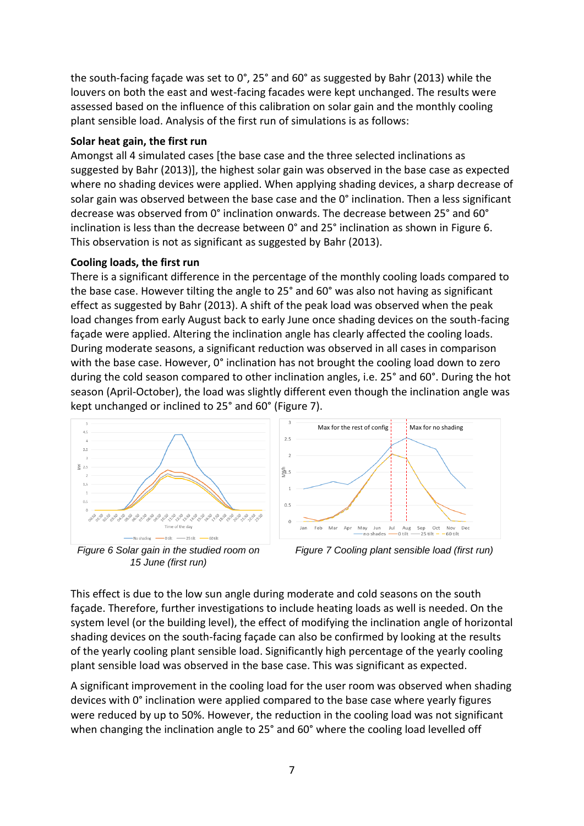the south-facing façade was set to 0°, 25° and 60° as suggested by Bahr (2013) while the louvers on both the east and west-facing facades were kept unchanged. The results were assessed based on the influence of this calibration on solar gain and the monthly cooling plant sensible load. Analysis of the first run of simulations is as follows:

### **Solar heat gain, the first run**

Amongst all 4 simulated cases [the base case and the three selected inclinations as suggested by Bahr (2013)], the highest solar gain was observed in the base case as expected where no shading devices were applied. When applying shading devices, a sharp decrease of solar gain was observed between the base case and the 0° inclination. Then a less significant decrease was observed from 0° inclination onwards. The decrease between 25° and 60° inclination is less than the decrease between 0° and 25° inclination as shown in Figure 6. This observation is not as significant as suggested by Bahr (2013).

### **Cooling loads, the first run**

There is a significant difference in the percentage of the monthly cooling loads compared to the base case. However tilting the angle to 25° and 60° was also not having as significant effect as suggested by Bahr (2013). A shift of the peak load was observed when the peak load changes from early August back to early June once shading devices on the south-facing façade were applied. Altering the inclination angle has clearly affected the cooling loads. During moderate seasons, a significant reduction was observed in all cases in comparison with the base case. However, 0° inclination has not brought the cooling load down to zero during the cold season compared to other inclination angles, i.e. 25° and 60°. During the hot season (April-October), the load was slightly different even though the inclination angle was kept unchanged or inclined to 25° and 60° (Figure 7).



*Figure 6 Solar gain in the studied room on 15 June (first run)*





This effect is due to the low sun angle during moderate and cold seasons on the south façade. Therefore, further investigations to include heating loads as well is needed. On the system level (or the building level), the effect of modifying the inclination angle of horizontal shading devices on the south-facing façade can also be confirmed by looking at the results of the yearly cooling plant sensible load. Significantly high percentage of the yearly cooling plant sensible load was observed in the base case. This was significant as expected.

A significant improvement in the cooling load for the user room was observed when shading devices with 0° inclination were applied compared to the base case where yearly figures were reduced by up to 50%. However, the reduction in the cooling load was not significant when changing the inclination angle to 25° and 60° where the cooling load levelled off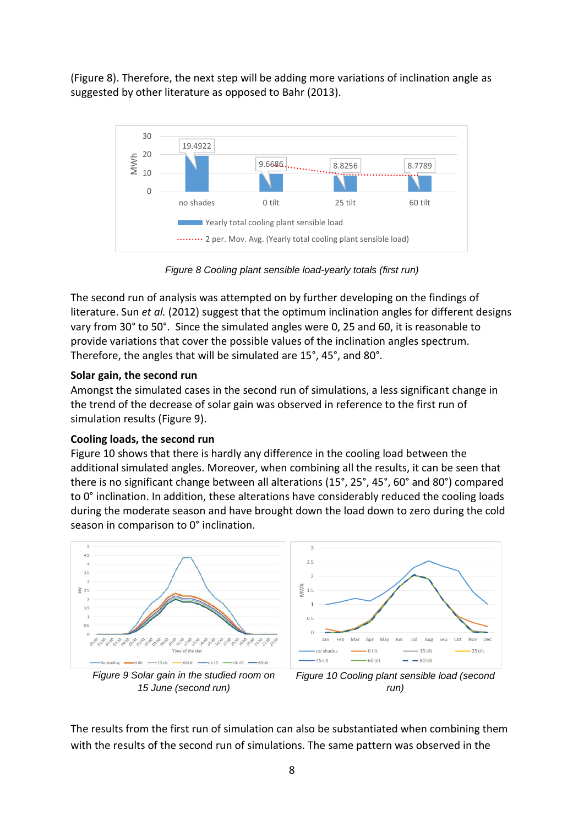(Figure 8). Therefore, the next step will be adding more variations of inclination angle as suggested by other literature as opposed to Bahr (2013).



*Figure 8 Cooling plant sensible load-yearly totals (first run)*

The second run of analysis was attempted on by further developing on the findings of literature. Sun *et al.* (2012) suggest that the optimum inclination angles for different designs vary from 30° to 50°. Since the simulated angles were 0, 25 and 60, it is reasonable to provide variations that cover the possible values of the inclination angles spectrum. Therefore, the angles that will be simulated are 15°, 45°, and 80°.

# **Solar gain, the second run**

Amongst the simulated cases in the second run of simulations, a less significant change in the trend of the decrease of solar gain was observed in reference to the first run of simulation results (Figure 9).

#### **Cooling loads, the second run**

Figure 10 shows that there is hardly any difference in the cooling load between the additional simulated angles. Moreover, when combining all the results, it can be seen that there is no significant change between all alterations (15°, 25°, 45°, 60° and 80°) compared to 0° inclination. In addition, these alterations have considerably reduced the cooling loads during the moderate season and have brought down the load down to zero during the cold season in comparison to 0° inclination.



*15 June (second run)*



The results from the first run of simulation can also be substantiated when combining them with the results of the second run of simulations. The same pattern was observed in the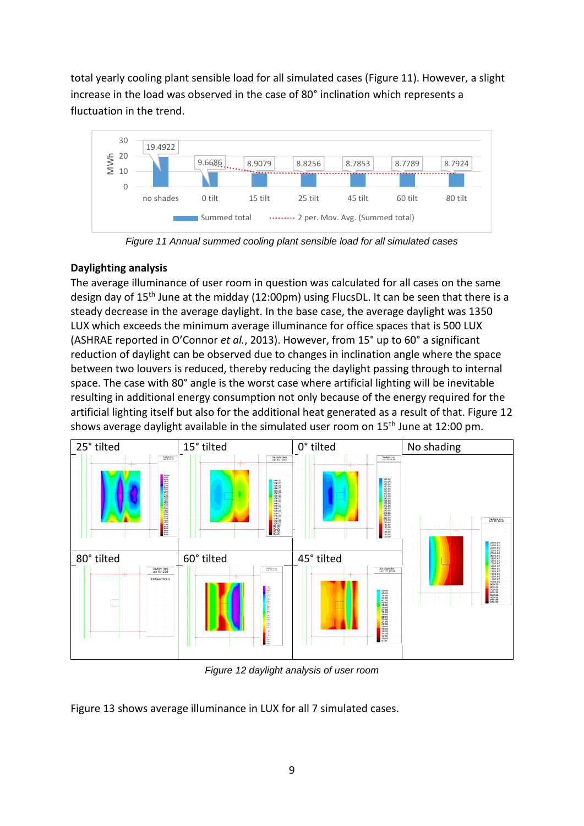total yearly cooling plant sensible load for all simulated cases (Figure 11). However, a slight increase in the load was observed in the case of 80° inclination which represents a fluctuation in the trend.



*Figure 11 Annual summed cooling plant sensible load for all simulated cases*

# **Daylighting analysis**

The average illuminance of user room in question was calculated for all cases on the same design day of 15<sup>th</sup> June at the midday (12:00pm) using FlucsDL. It can be seen that there is a steady decrease in the average daylight. In the base case, the average daylight was 1350 LUX which exceeds the minimum average illuminance for office spaces that is 500 LUX (ASHRAE reported in O'Connor *et al.*, 2013). However, from 15° up to 60° a significant reduction of daylight can be observed due to changes in inclination angle where the space between two louvers is reduced, thereby reducing the daylight passing through to internal space. The case with 80° angle is the worst case where artificial lighting will be inevitable resulting in additional energy consumption not only because of the energy required for the artificial lighting itself but also for the additional heat generated as a result of that. Figure 12 shows average daylight available in the simulated user room on  $15<sup>th</sup>$  June at  $12:00$  pm.



*Figure 12 daylight analysis of user room*

Figure 13 shows average illuminance in LUX for all 7 simulated cases.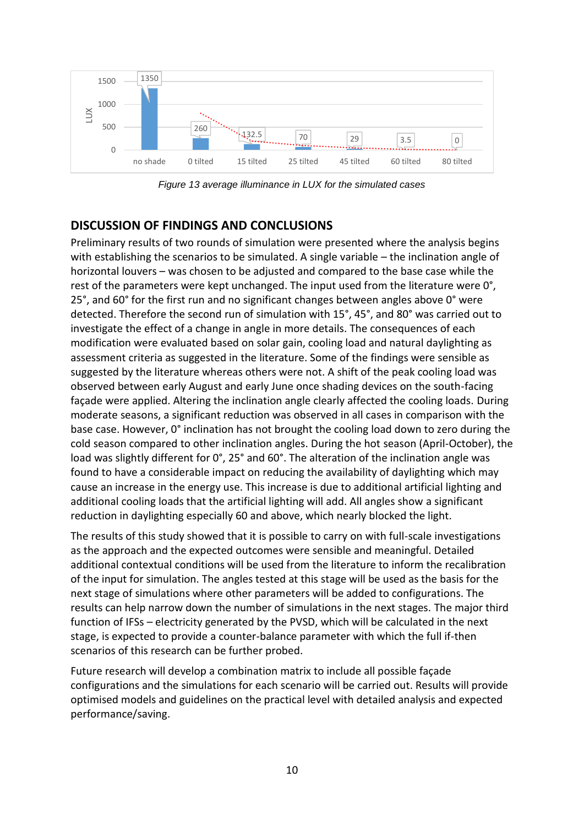

*Figure 13 average illuminance in LUX for the simulated cases*

# **DISCUSSION OF FINDINGS AND CONCLUSIONS**

Preliminary results of two rounds of simulation were presented where the analysis begins with establishing the scenarios to be simulated. A single variable – the inclination angle of horizontal louvers – was chosen to be adjusted and compared to the base case while the rest of the parameters were kept unchanged. The input used from the literature were 0°, 25°, and 60° for the first run and no significant changes between angles above 0° were detected. Therefore the second run of simulation with 15°, 45°, and 80° was carried out to investigate the effect of a change in angle in more details. The consequences of each modification were evaluated based on solar gain, cooling load and natural daylighting as assessment criteria as suggested in the literature. Some of the findings were sensible as suggested by the literature whereas others were not. A shift of the peak cooling load was observed between early August and early June once shading devices on the south-facing façade were applied. Altering the inclination angle clearly affected the cooling loads. During moderate seasons, a significant reduction was observed in all cases in comparison with the base case. However, 0° inclination has not brought the cooling load down to zero during the cold season compared to other inclination angles. During the hot season (April-October), the load was slightly different for 0°, 25° and 60°. The alteration of the inclination angle was found to have a considerable impact on reducing the availability of daylighting which may cause an increase in the energy use. This increase is due to additional artificial lighting and additional cooling loads that the artificial lighting will add. All angles show a significant reduction in daylighting especially 60 and above, which nearly blocked the light.

The results of this study showed that it is possible to carry on with full-scale investigations as the approach and the expected outcomes were sensible and meaningful. Detailed additional contextual conditions will be used from the literature to inform the recalibration of the input for simulation. The angles tested at this stage will be used as the basis for the next stage of simulations where other parameters will be added to configurations. The results can help narrow down the number of simulations in the next stages. The major third function of IFSs – electricity generated by the PVSD, which will be calculated in the next stage, is expected to provide a counter-balance parameter with which the full if-then scenarios of this research can be further probed.

Future research will develop a combination matrix to include all possible façade configurations and the simulations for each scenario will be carried out. Results will provide optimised models and guidelines on the practical level with detailed analysis and expected performance/saving.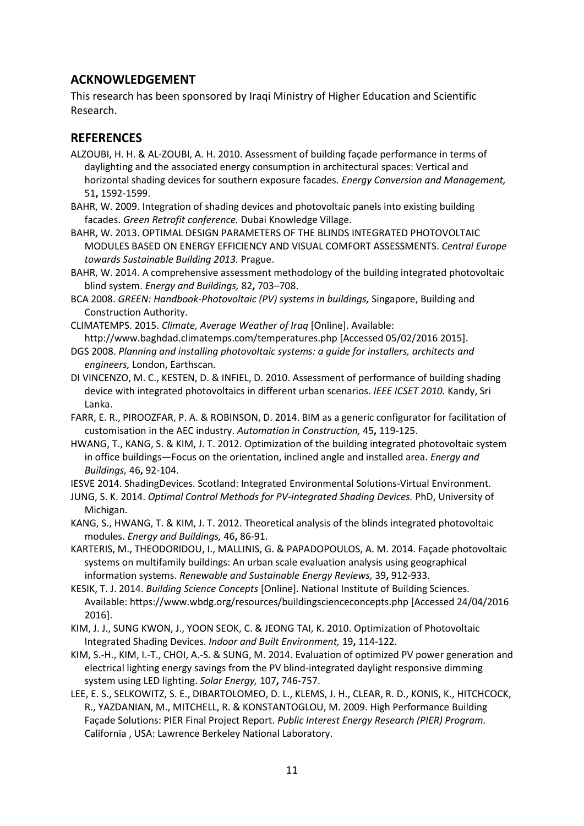# **ACKNOWLEDGEMENT**

This research has been sponsored by Iraqi Ministry of Higher Education and Scientific Research.

# **REFERENCES**

- ALZOUBI, H. H. & AL-ZOUBI, A. H. 2010. Assessment of building façade performance in terms of daylighting and the associated energy consumption in architectural spaces: Vertical and horizontal shading devices for southern exposure facades. *Energy Conversion and Management,* 51**,** 1592-1599.
- BAHR, W. 2009. Integration of shading devices and photovoltaic panels into existing building facades. *Green Retrofit conference.* Dubai Knowledge Village.
- BAHR, W. 2013. OPTIMAL DESIGN PARAMETERS OF THE BLINDS INTEGRATED PHOTOVOLTAIC MODULES BASED ON ENERGY EFFICIENCY AND VISUAL COMFORT ASSESSMENTS. *Central Europe towards Sustainable Building 2013.* Prague.

BAHR, W. 2014. A comprehensive assessment methodology of the building integrated photovoltaic blind system. *Energy and Buildings,* 82**,** 703–708.

BCA 2008. *GREEN: Handbook-Photovoltaic (PV) systems in buildings,* Singapore, Building and Construction Authority.

CLIMATEMPS. 2015. *Climate, Average Weather of Iraq* [Online]. Available:

http://www.baghdad.climatemps.com/temperatures.php [Accessed 05/02/2016 2015].

- DGS 2008. *Planning and installing photovoltaic systems: a guide for installers, architects and engineers,* London, Earthscan.
- DI VINCENZO, M. C., KESTEN, D. & INFIEL, D. 2010. Assessment of performance of building shading device with integrated photovoltaics in different urban scenarios. *IEEE ICSET 2010.* Kandy, Sri Lanka.
- FARR, E. R., PIROOZFAR, P. A. & ROBINSON, D. 2014. BIM as a generic configurator for facilitation of customisation in the AEC industry. *Automation in Construction,* 45**,** 119-125.
- HWANG, T., KANG, S. & KIM, J. T. 2012. Optimization of the building integrated photovoltaic system in office buildings—Focus on the orientation, inclined angle and installed area. *Energy and Buildings,* 46**,** 92-104.

IESVE 2014. ShadingDevices. Scotland: Integrated Environmental Solutions-Virtual Environment.

- JUNG, S. K. 2014. *Optimal Control Methods for PV-integrated Shading Devices.* PhD, University of Michigan.
- KANG, S., HWANG, T. & KIM, J. T. 2012. Theoretical analysis of the blinds integrated photovoltaic modules. *Energy and Buildings,* 46**,** 86-91.

KARTERIS, M., THEODORIDOU, I., MALLINIS, G. & PAPADOPOULOS, A. M. 2014. Façade photovoltaic systems on multifamily buildings: An urban scale evaluation analysis using geographical information systems. *Renewable and Sustainable Energy Reviews,* 39**,** 912-933.

KESIK, T. J. 2014. *Building Science Concepts* [Online]. National Institute of Building Sciences. Available: https://www.wbdg.org/resources/buildingscienceconcepts.php [Accessed 24/04/2016 2016].

KIM, J. J., SUNG KWON, J., YOON SEOK, C. & JEONG TAI, K. 2010. Optimization of Photovoltaic Integrated Shading Devices. *Indoor and Built Environment,* 19**,** 114-122.

KIM, S.-H., KIM, I.-T., CHOI, A.-S. & SUNG, M. 2014. Evaluation of optimized PV power generation and electrical lighting energy savings from the PV blind-integrated daylight responsive dimming system using LED lighting. *Solar Energy,* 107**,** 746-757.

LEE, E. S., SELKOWITZ, S. E., DIBARTOLOMEO, D. L., KLEMS, J. H., CLEAR, R. D., KONIS, K., HITCHCOCK, R., YAZDANIAN, M., MITCHELL, R. & KONSTANTOGLOU, M. 2009. High Performance Building Façade Solutions: PIER Final Project Report. *Public Interest Energy Research (PIER) Program.* California , USA: Lawrence Berkeley National Laboratory.